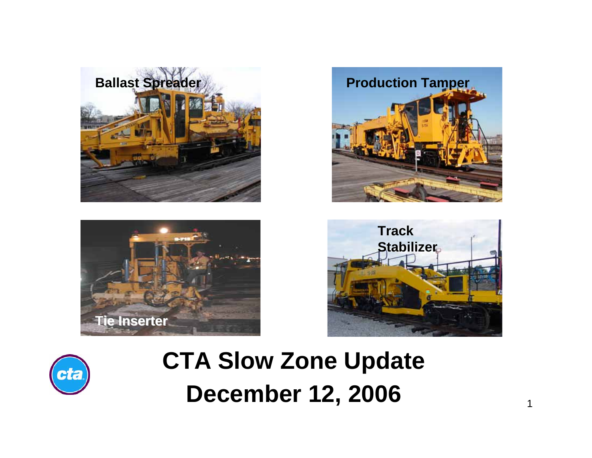









# **CTA Slow Zone Update December 12, 2006**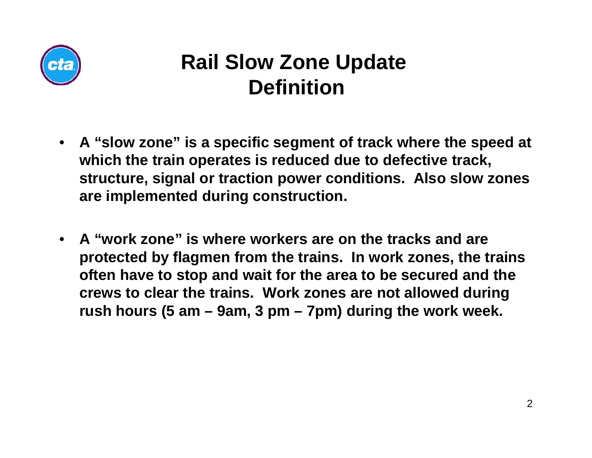

#### **Rail Slow Zone Update Definition**

- **A "slow zone" is a specific segment of track where the speed at which the train operates is reduced due to defective track, structure, signal or traction power conditions. Also slow zones are implemented during construction.**
- **A "work zone" is where workers are on the tracks and are protected by flagmen from the trains. In work zones, the trains often have to stop and wait for the area to be secured and the crews to clear the trains. Work zones are not allowed during rush hours (5 am – 9am, 3 pm – 7pm) during the work week.**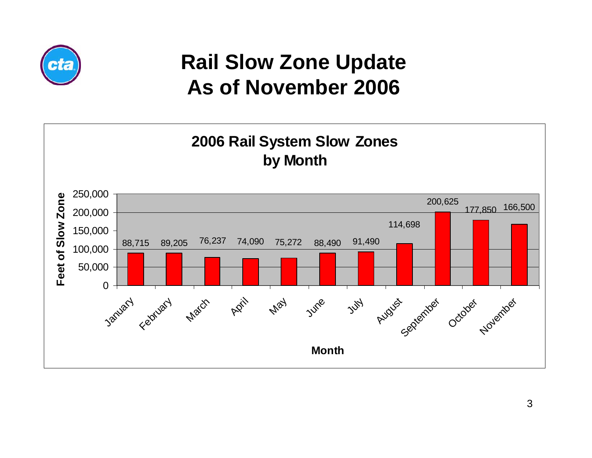

### **Rail Slow Zone Update As of November 2006**

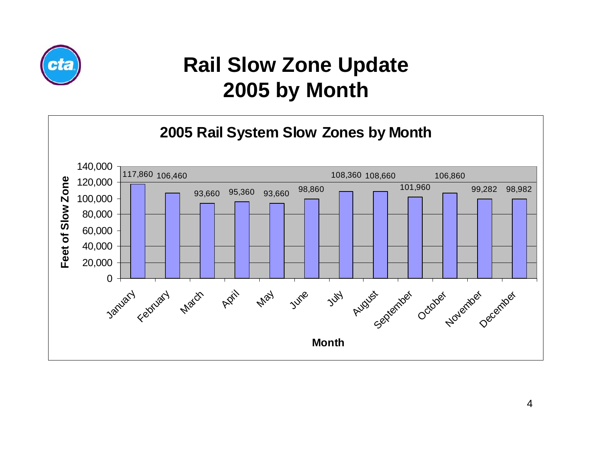

#### **Rail Slow Zone Update 2005 by Month**

#### **2005 Rail System Slow Zones by Month**

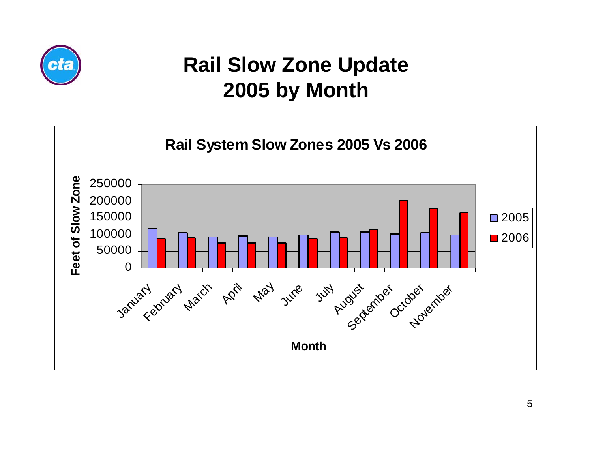

### **Rail Slow Zone Update 2005 by Month**

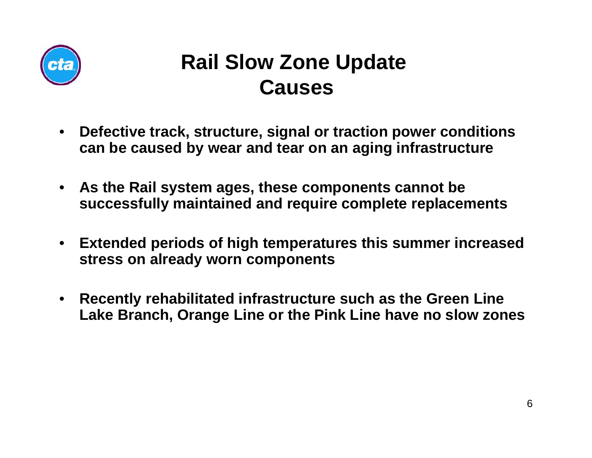

#### **Rail Slow Zone Update Causes**

- $\bullet$  **Defective track, structure, signal or traction power conditions can be caused by wear and tear on an aging infrastructure**
- $\bullet$  **As the Rail system ages, these components cannot be successfully maintained and require complete replacements**
- $\bullet$  **Extended periods of high temperatures this summer increased stress on already worn components**
- $\bullet$  **Recently rehabilitated infrastructure such as the Green Line Lake Branch, Orange Line or the Pink Line have no slow zones**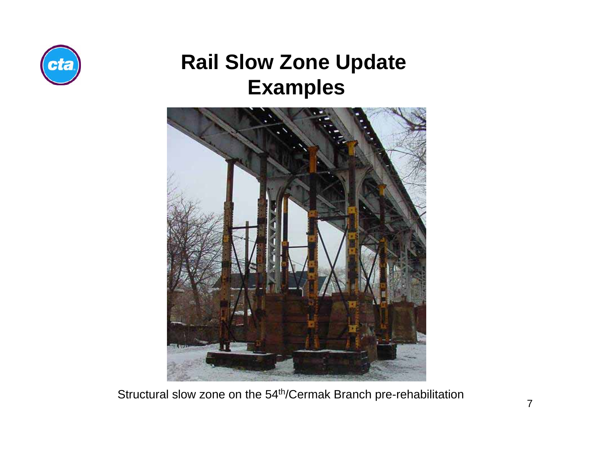



Structural slow zone on the 54th/Cermak Branch pre-rehabilitation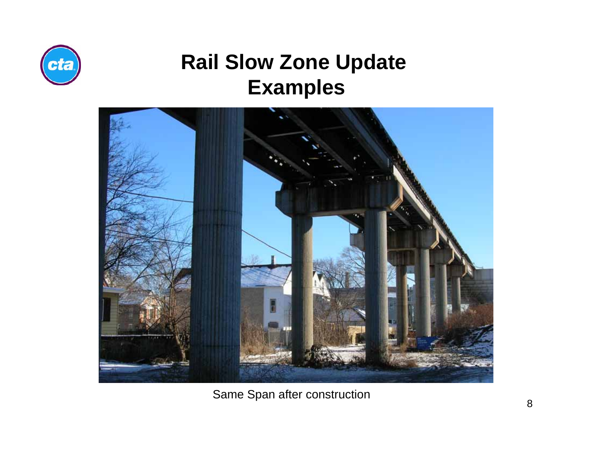



Same Span after construction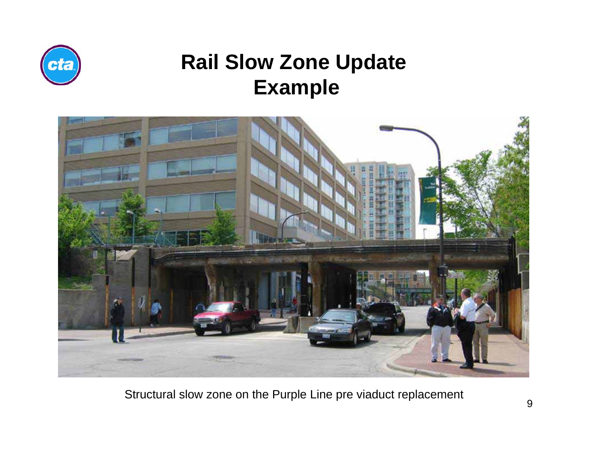



Structural slow zone on the Purple Line pre viaduct replacement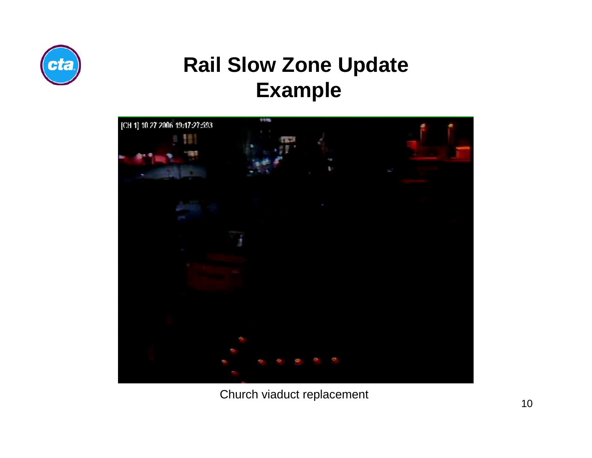



Church viaduct replacement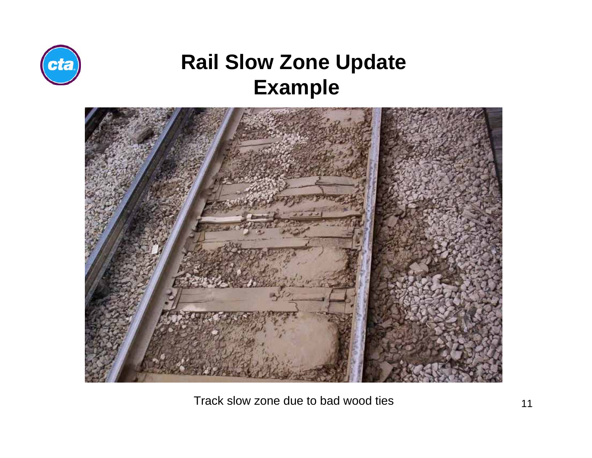



Track slow zone due to bad wood ties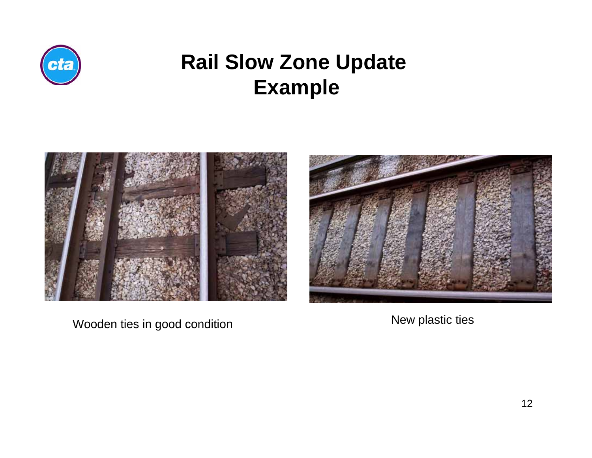



Wooden ties in good condition New plastic ties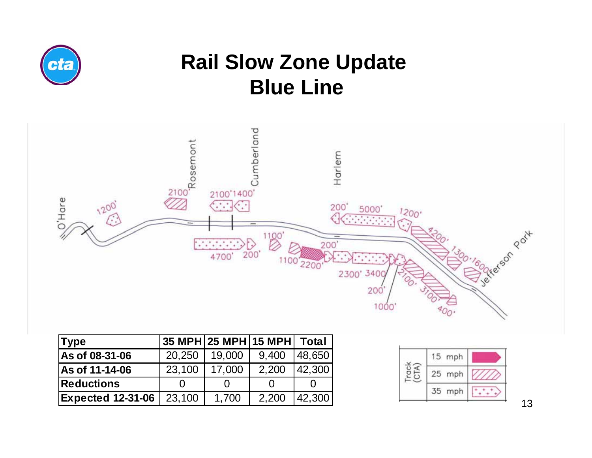

### **Rail Slow Zone Update Blue Line**



| Type                     |        | $ 35 \text{ MPH} 25 \text{ MPH} 15 \text{ MPH} $ Total |       |        |
|--------------------------|--------|--------------------------------------------------------|-------|--------|
| As of 08-31-06           | 20,250 | 19,000                                                 | 9,400 | 48,650 |
| As of 11-14-06           | 23,100 | 17.000                                                 | 2,200 | 42,300 |
| <b>Reductions</b>        |        |                                                        |       |        |
| <b>Expected 12-31-06</b> | 23,100 | 1.700                                                  | 2,200 | 42,300 |

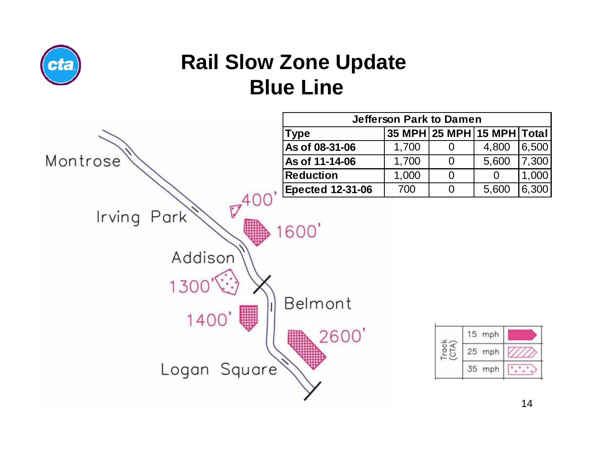

# **Rail Slow Zone Update Blue Line**



| <b>Jefferson Park to Damen</b>            |       |   |       |       |  |  |
|-------------------------------------------|-------|---|-------|-------|--|--|
| 35 MPH 25 MPH 15 MPH Total<br><b>Type</b> |       |   |       |       |  |  |
| As of 08-31-06                            | 1,700 |   | 4,800 | 6,500 |  |  |
| As of 11-14-06                            | 1,700 | 0 | 5,600 | 7,300 |  |  |
| <b>Reduction</b>                          | 1,000 | 0 |       | 1,000 |  |  |
| <b>Epected 12-31-06</b>                   | 700   | O | 5,600 | 6,300 |  |  |

| mph    |  |
|--------|--|
| 25 mph |  |
| mph    |  |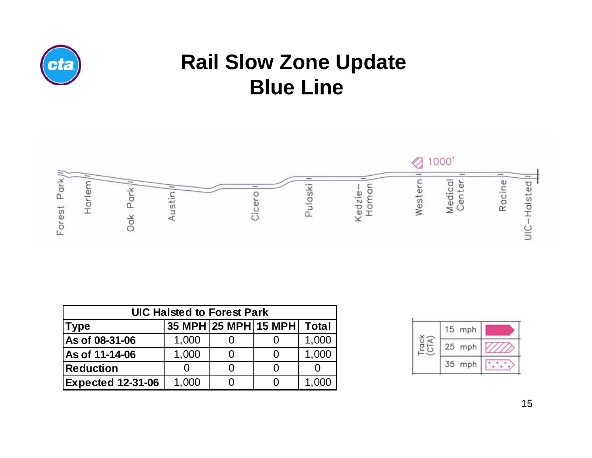

# **Rail Slow Zone Update Blue Line**



| <b>UIC Halsted to Forest Park</b>                   |       |  |  |       |  |  |
|-----------------------------------------------------|-------|--|--|-------|--|--|
| 35 MPH 25 MPH 15 MPH<br><b>Total</b><br><b>Type</b> |       |  |  |       |  |  |
| As of 08-31-06                                      | 1,000 |  |  | 1,000 |  |  |
| As of 11-14-06                                      | 1,000 |  |  | 1,000 |  |  |
| Reduction                                           |       |  |  |       |  |  |
| <b>Expected 12-31-06</b>                            | 1,000 |  |  | 1,000 |  |  |

| mph       |  |
|-----------|--|
| mph<br>25 |  |
| mph       |  |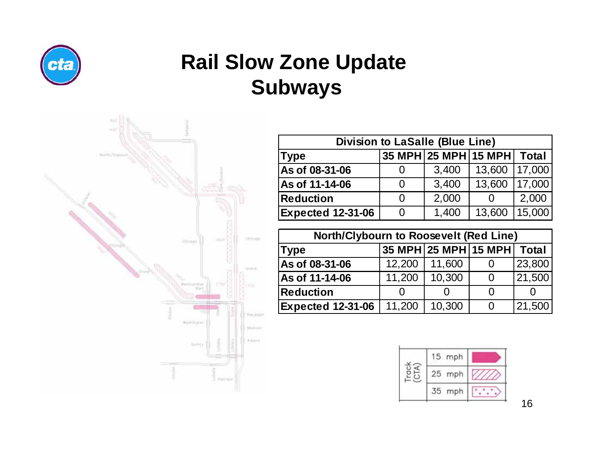

# **Rail Slow Zone Update Subways**



| <b>Division to LaSalle (Blue Line)</b>       |   |       |          |        |  |  |
|----------------------------------------------|---|-------|----------|--------|--|--|
| 35 MPH 25 MPH 15 MPH<br>Total<br><b>Type</b> |   |       |          |        |  |  |
| As of 08-31-06                               | 0 | 3,400 | 13,600   | 17,000 |  |  |
| As of 11-14-06                               | 0 | 3,400 | 13,600   | 17,000 |  |  |
| <b>Reduction</b>                             | 0 | 2,000 | $\Omega$ | 2,000  |  |  |
| <b>Expected 12-31-06</b>                     | 0 | 1,400 | 13,600   | 15,000 |  |  |

| North/Clybourn to Roosevelt (Red Line)       |        |        |          |        |  |  |
|----------------------------------------------|--------|--------|----------|--------|--|--|
| 35 MPH 25 MPH 15 MPH<br>Total<br><b>Type</b> |        |        |          |        |  |  |
| As of 08-31-06                               | 12,200 | 11,600 | O        | 23,800 |  |  |
| As of 11-14-06                               | 11,200 | 10,300 | $\Omega$ | 21,500 |  |  |
| <b>Reduction</b>                             |        |        | O        |        |  |  |
| <b>Expected 12-31-06</b>                     | 11,200 | 10,300 | 0        | 21,500 |  |  |

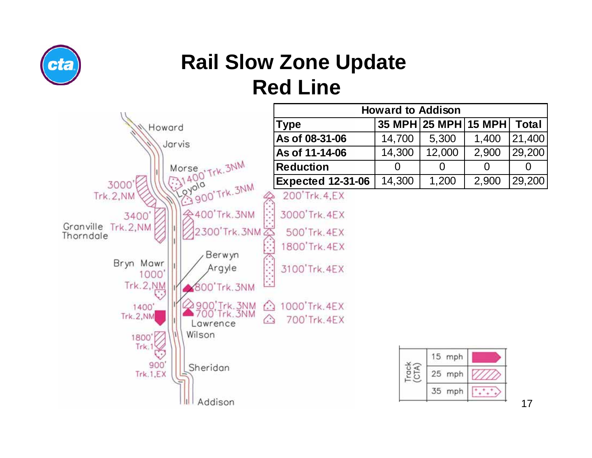

# **Rail Slow Zone Update Red Line**

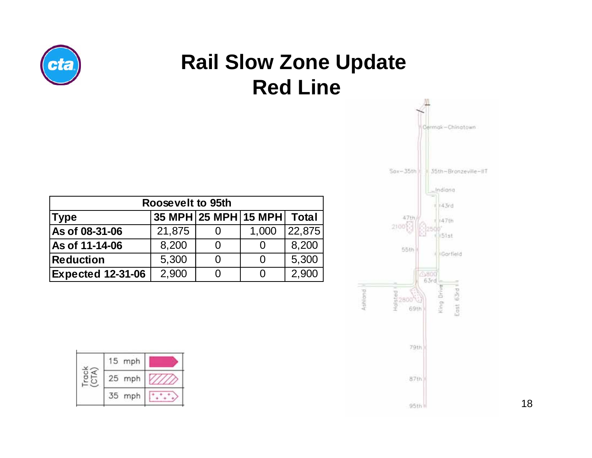

# **Rail Slow Zone Update Red Line**

| Roosevelt to 95th                            |        |   |       |        |  |  |
|----------------------------------------------|--------|---|-------|--------|--|--|
| 35 MPH 25 MPH 15 MPH<br>Total<br><b>Type</b> |        |   |       |        |  |  |
| As of 08-31-06                               | 21,875 |   | 1,000 | 22,875 |  |  |
| As of 11-14-06                               | 8,200  | 0 | O     | 8,200  |  |  |
| <b>Reduction</b>                             | 5,300  | 0 | 0     | 5,300  |  |  |
| <b>Expected 12-31-06</b>                     | 2,900  |   |       | 2,900  |  |  |





18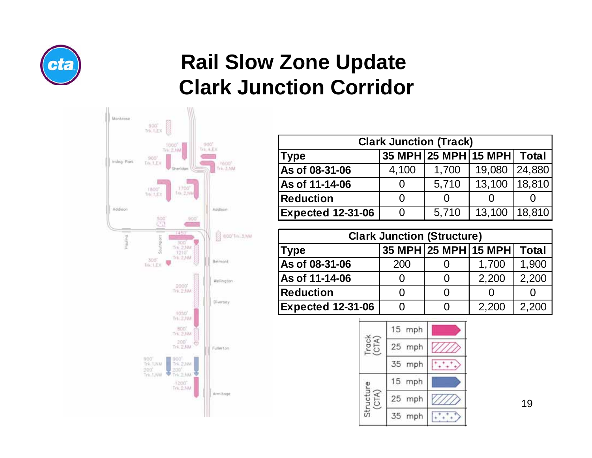

### **Rail Slow Zone Update Clark Junction Corridor**



| <b>Clark Junction (Track)</b>                |       |               |        |        |  |  |
|----------------------------------------------|-------|---------------|--------|--------|--|--|
| 35 MPH 25 MPH 15 MPH<br>Total<br><b>Type</b> |       |               |        |        |  |  |
| As of 08-31-06                               | 4,100 | 1,700         | 19,080 | 24,880 |  |  |
| As of 11-14-06                               | O     | 5,710         | 13,100 | 18,810 |  |  |
| <b>Reduction</b>                             | 0     | $\mathcal{O}$ |        |        |  |  |
| <b>Expected 12-31-06</b>                     | 0     | 5,710         | 13,100 | 18,810 |  |  |

| <b>Clark Junction (Structure)</b>            |     |                   |                   |       |  |  |  |
|----------------------------------------------|-----|-------------------|-------------------|-------|--|--|--|
| 35 MPH 25 MPH 15 MPH<br>Total<br><b>Type</b> |     |                   |                   |       |  |  |  |
| As of 08-31-06                               | 200 |                   | 1,700             | 1,900 |  |  |  |
| As of 11-14-06                               |     | O                 | 2,200             | 2,200 |  |  |  |
| <b>Reduction</b>                             |     |                   | $\mathbf{\Omega}$ |       |  |  |  |
| <b>Expected 12-31-06</b>                     |     | $\mathbf{\Omega}$ | 2,200             | 2,200 |  |  |  |

|      | 15 mph |  |
|------|--------|--|
|      | 25 mph |  |
|      | 35 mph |  |
| e in | 15 mph |  |
|      | 25 mph |  |
|      | 35 mph |  |

19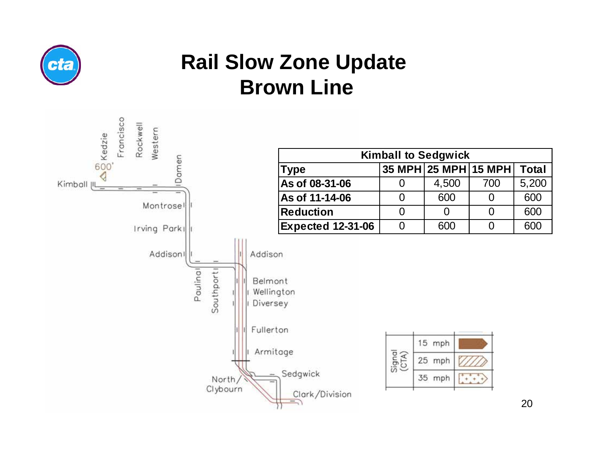

# **Rail Slow Zone Update Brown Line**

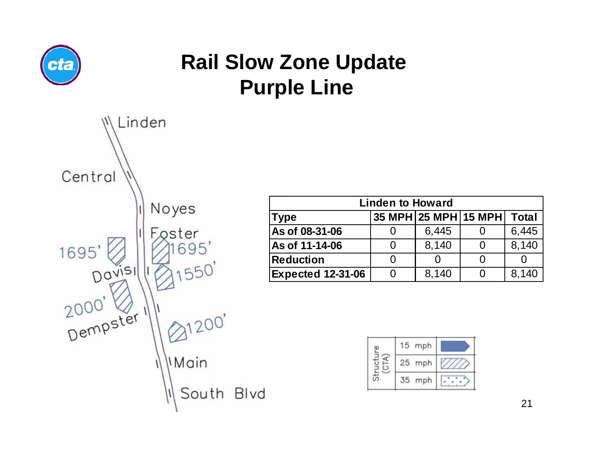

# **Rail Slow Zone Update Purple Line**



| <b>Linden to Howard</b>                      |   |       |                   |       |  |
|----------------------------------------------|---|-------|-------------------|-------|--|
| 35 MPH 25 MPH 15 MPH<br>Total<br><b>Type</b> |   |       |                   |       |  |
| As of 08-31-06                               |   | 6,445 |                   | 6,445 |  |
| As of 11-14-06                               | O | 8,140 | $\mathbf{\Omega}$ | 8,140 |  |
| <b>Reduction</b>                             |   |       |                   |       |  |
| <b>Expected 12-31-06</b>                     |   | 8,140 |                   | 8,140 |  |

|  | 15 mph |  |
|--|--------|--|
|  | 25 mph |  |
|  | mph    |  |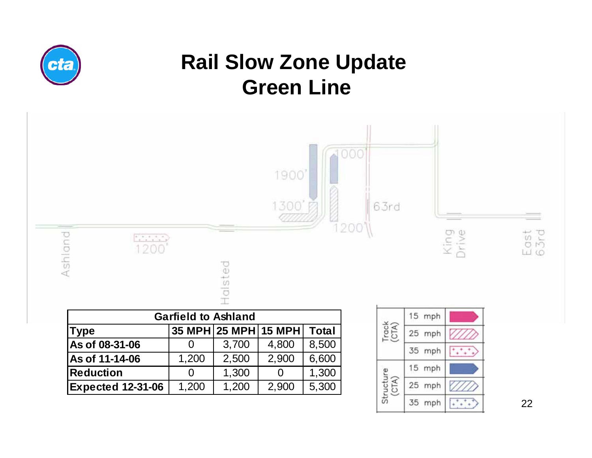

22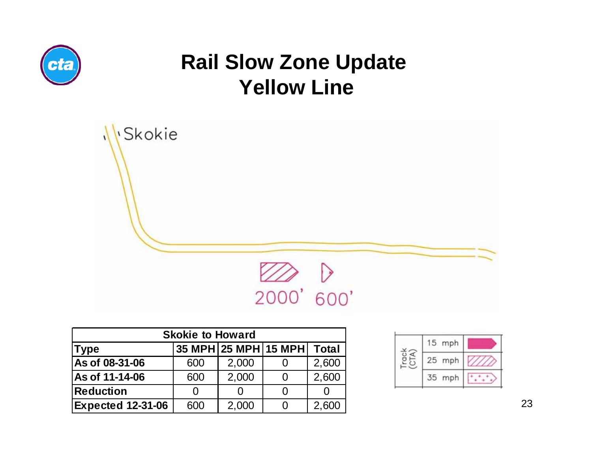

#### **Rail Slow Zone Update Yellow Line**



| <b>Skokie to Howard</b>  |     |       |                      |       |  |  |  |
|--------------------------|-----|-------|----------------------|-------|--|--|--|
| <b>Type</b>              |     |       | 35 MPH 25 MPH 15 MPH | Total |  |  |  |
| As of 08-31-06           | 600 | 2,000 |                      | 2,600 |  |  |  |
| As of 11-14-06           | 600 | 2,000 |                      | 2,600 |  |  |  |
| <b>Reduction</b>         |     |       |                      |       |  |  |  |
| <b>Expected 12-31-06</b> | 600 | 2,000 |                      | 2,600 |  |  |  |

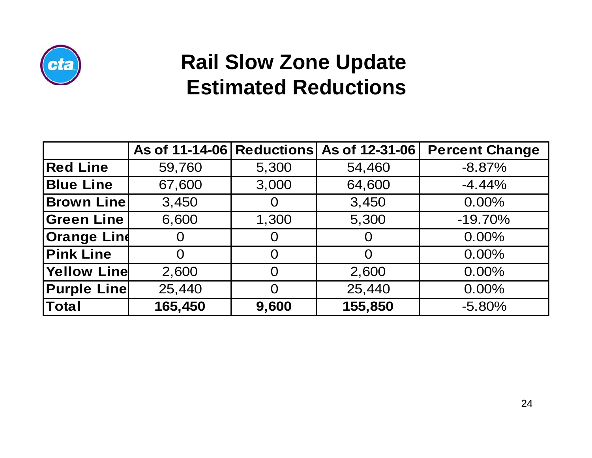

### **Rail Slow Zone Update Estimated Reductions**

|                    |         |                | As of 11-14-06 Reductions As of 12-31-06 | <b>Percent Change</b> |
|--------------------|---------|----------------|------------------------------------------|-----------------------|
| <b>Red Line</b>    | 59,760  | 5,300          | 54,460                                   | $-8.87%$              |
| <b>Blue Line</b>   | 67,600  | 3,000          | 64,600                                   | $-4.44%$              |
| <b>Brown Line</b>  | 3,450   | O              | 3,450                                    | $0.00\%$              |
| <b>Green Line</b>  | 6,600   | 1,300          | 5,300                                    | $-19.70%$             |
| <b>Orange Lind</b> | 0       | $\overline{0}$ | $\Omega$                                 | $0.00\%$              |
| <b>Pink Line</b>   | O       | O              | O                                        | 0.00%                 |
| <b>Yellow Line</b> | 2,600   | O              | 2,600                                    | $0.00\%$              |
| <b>Purple Line</b> | 25,440  | $\overline{0}$ | 25,440                                   | 0.00%                 |
| <b>Total</b>       | 165,450 | 9,600          | 155,850                                  | $-5.80%$              |